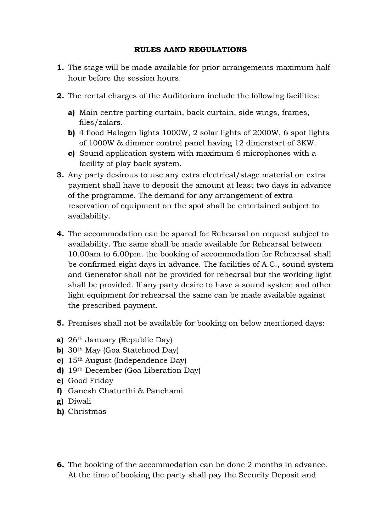## **RULES AAND REGULATIONS**

- **1.** The stage will be made available for prior arrangements maximum half hour before the session hours.
- **2.** The rental charges of the Auditorium include the following facilities:
	- **a)** Main centre parting curtain, back curtain, side wings, frames, files/zalars.
	- **b)** 4 flood Halogen lights 1000W, 2 solar lights of 2000W, 6 spot lights of 1000W & dimmer control panel having 12 dimerstart of 3KW.
	- **c)** Sound application system with maximum 6 microphones with a facility of play back system.
- **3.** Any party desirous to use any extra electrical/stage material on extra payment shall have to deposit the amount at least two days in advance of the programme. The demand for any arrangement of extra reservation of equipment on the spot shall be entertained subject to availability.
- **4.** The accommodation can be spared for Rehearsal on request subject to availability. The same shall be made available for Rehearsal between 10.00am to 6.00pm. the booking of accommodation for Rehearsal shall be confirmed eight days in advance. The facilities of A.C., sound system and Generator shall not be provided for rehearsal but the working light shall be provided. If any party desire to have a sound system and other light equipment for rehearsal the same can be made available against the prescribed payment.
- **5.** Premises shall not be available for booking on below mentioned days:
- **a)** 26th January (Republic Day)
- **b)** 30<sup>th</sup> May (Goa Statehood Day)
- **c)** 15th August (Independence Day)
- **d)** 19th December (Goa Liberation Day)
- **e)** Good Friday
- **f)** Ganesh Chaturthi & Panchami
- **g)** Diwali
- **h)** Christmas
- **6.** The booking of the accommodation can be done 2 months in advance. At the time of booking the party shall pay the Security Deposit and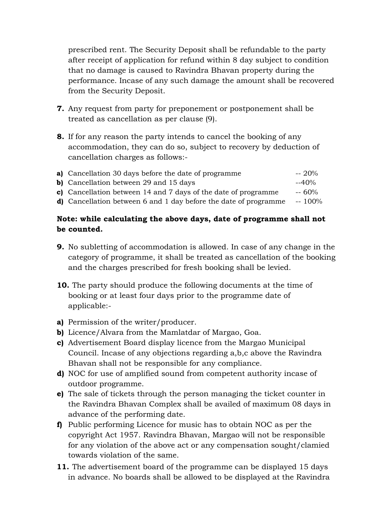prescribed rent. The Security Deposit shall be refundable to the party after receipt of application for refund within 8 day subject to condition that no damage is caused to Ravindra Bhavan property during the performance. Incase of any such damage the amount shall be recovered from the Security Deposit.

- **7.** Any request from party for preponement or postponement shall be treated as cancellation as per clause (9).
- **8.** If for any reason the party intends to cancel the booking of any accommodation, they can do so, subject to recovery by deduction of cancellation charges as follows:-

| a) Cancellation 30 days before the date of programme                     | $-20%$  |
|--------------------------------------------------------------------------|---------|
| <b>b)</b> Cancellation between 29 and 15 days                            | $-40%$  |
| c) Cancellation between 14 and 7 days of the date of programme           | $-60%$  |
| <b>d</b> ) Cancellation between 6 and 1 day before the date of programme | $-100%$ |

## **Note: while calculating the above days, date of programme shall not be counted.**

- **9.** No subletting of accommodation is allowed. In case of any change in the category of programme, it shall be treated as cancellation of the booking and the charges prescribed for fresh booking shall be levied.
- **10.** The party should produce the following documents at the time of booking or at least four days prior to the programme date of applicable:-
- **a)** Permission of the writer/producer.
- **b)** Licence/Alvara from the Mamlatdar of Margao, Goa.
- **c)** Advertisement Board display licence from the Margao Municipal Council. Incase of any objections regarding a,b,c above the Ravindra Bhavan shall not be responsible for any compliance.
- **d)** NOC for use of amplified sound from competent authority incase of outdoor programme.
- **e)** The sale of tickets through the person managing the ticket counter in the Ravindra Bhavan Complex shall be availed of maximum 08 days in advance of the performing date.
- **f)** Public performing Licence for music has to obtain NOC as per the copyright Act 1957. Ravindra Bhavan, Margao will not be responsible for any violation of the above act or any compensation sought/clamied towards violation of the same.
- **11.** The advertisement board of the programme can be displayed 15 days in advance. No boards shall be allowed to be displayed at the Ravindra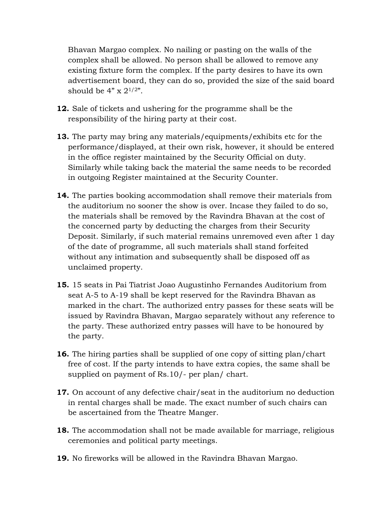Bhavan Margao complex. No nailing or pasting on the walls of the complex shall be allowed. No person shall be allowed to remove any existing fixture form the complex. If the party desires to have its own advertisement board, they can do so, provided the size of the said board should be  $4" \times 2^{1/2"}.$ 

- **12.** Sale of tickets and ushering for the programme shall be the responsibility of the hiring party at their cost.
- **13.** The party may bring any materials/equipments/exhibits etc for the performance/displayed, at their own risk, however, it should be entered in the office register maintained by the Security Official on duty. Similarly while taking back the material the same needs to be recorded in outgoing Register maintained at the Security Counter.
- **14.** The parties booking accommodation shall remove their materials from the auditorium no sooner the show is over. Incase they failed to do so, the materials shall be removed by the Ravindra Bhavan at the cost of the concerned party by deducting the charges from their Security Deposit. Similarly, if such material remains unremoved even after 1 day of the date of programme, all such materials shall stand forfeited without any intimation and subsequently shall be disposed off as unclaimed property.
- **15.** 15 seats in Pai Tiatrist Joao Augustinho Fernandes Auditorium from seat A-5 to A-19 shall be kept reserved for the Ravindra Bhavan as marked in the chart. The authorized entry passes for these seats will be issued by Ravindra Bhavan, Margao separately without any reference to the party. These authorized entry passes will have to be honoured by the party.
- **16.** The hiring parties shall be supplied of one copy of sitting plan/chart free of cost. If the party intends to have extra copies, the same shall be supplied on payment of Rs.10/- per plan/ chart.
- **17.** On account of any defective chair/seat in the auditorium no deduction in rental charges shall be made. The exact number of such chairs can be ascertained from the Theatre Manger.
- **18.** The accommodation shall not be made available for marriage, religious ceremonies and political party meetings.
- **19.** No fireworks will be allowed in the Ravindra Bhavan Margao.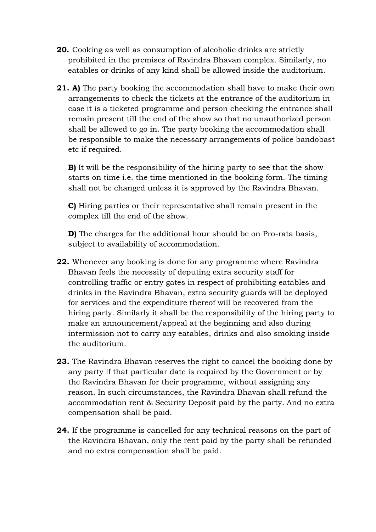- **20.** Cooking as well as consumption of alcoholic drinks are strictly prohibited in the premises of Ravindra Bhavan complex. Similarly, no eatables or drinks of any kind shall be allowed inside the auditorium.
- **21. A)** The party booking the accommodation shall have to make their own arrangements to check the tickets at the entrance of the auditorium in case it is a ticketed programme and person checking the entrance shall remain present till the end of the show so that no unauthorized person shall be allowed to go in. The party booking the accommodation shall be responsible to make the necessary arrangements of police bandobast etc if required.

**B**) It will be the responsibility of the hiring party to see that the show starts on time i.e. the time mentioned in the booking form. The timing shall not be changed unless it is approved by the Ravindra Bhavan.

**C)** Hiring parties or their representative shall remain present in the complex till the end of the show.

**D)** The charges for the additional hour should be on Pro-rata basis, subject to availability of accommodation.

- **22.** Whenever any booking is done for any programme where Ravindra Bhavan feels the necessity of deputing extra security staff for controlling traffic or entry gates in respect of prohibiting eatables and drinks in the Ravindra Bhavan, extra security guards will be deployed for services and the expenditure thereof will be recovered from the hiring party. Similarly it shall be the responsibility of the hiring party to make an announcement/appeal at the beginning and also during intermission not to carry any eatables, drinks and also smoking inside the auditorium.
- **23.** The Ravindra Bhavan reserves the right to cancel the booking done by any party if that particular date is required by the Government or by the Ravindra Bhavan for their programme, without assigning any reason. In such circumstances, the Ravindra Bhavan shall refund the accommodation rent & Security Deposit paid by the party. And no extra compensation shall be paid.
- **24.** If the programme is cancelled for any technical reasons on the part of the Ravindra Bhavan, only the rent paid by the party shall be refunded and no extra compensation shall be paid.